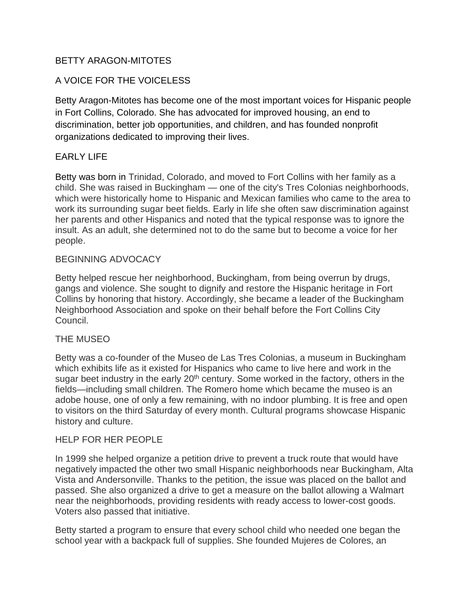## BETTY ARAGON-MITOTES

# A VOICE FOR THE VOICELESS

Betty Aragon-Mitotes has become one of the most important voices for Hispanic people in Fort Collins, Colorado. She has advocated for improved housing, an end to discrimination, better job opportunities, and children, and has founded nonprofit organizations dedicated to improving their lives.

## EARLY LIFE

Betty was born in Trinidad, Colorado, and moved to Fort Collins with her family as a child. She was raised in Buckingham — one of the city's Tres Colonias neighborhoods, which were historically home to Hispanic and Mexican families who came to the area to work its surrounding sugar beet fields. Early in life she often saw discrimination against her parents and other Hispanics and noted that the typical response was to ignore the insult. As an adult, she determined not to do the same but to become a voice for her people.

## BEGINNING ADVOCACY

Betty helped rescue her neighborhood, Buckingham, from being overrun by drugs, gangs and violence. She sought to dignify and restore the Hispanic heritage in Fort Collins by honoring that history. Accordingly, she became a leader of the Buckingham Neighborhood Association and spoke on their behalf before the Fort Collins City Council.

## THE MUSEO

Betty was a co-founder of the Museo de Las Tres Colonias, a museum in Buckingham which exhibits life as it existed for Hispanics who came to live here and work in the sugar beet industry in the early 20<sup>th</sup> century. Some worked in the factory, others in the fields—including small children. The Romero home which became the museo is an adobe house, one of only a few remaining, with no indoor plumbing. It is free and open to visitors on the third Saturday of every month. Cultural programs showcase Hispanic history and culture.

## HELP FOR HER PEOPLE

In 1999 she helped organize a petition drive to prevent a truck route that would have negatively impacted the other two small Hispanic neighborhoods near Buckingham, Alta Vista and Andersonville. Thanks to the petition, the issue was placed on the ballot and passed. She also organized a drive to get a measure on the ballot allowing a Walmart near the neighborhoods, providing residents with ready access to lower-cost goods. Voters also passed that initiative.

Betty started a program to ensure that every school child who needed one began the school year with a backpack full of supplies. She founded Mujeres de Colores, an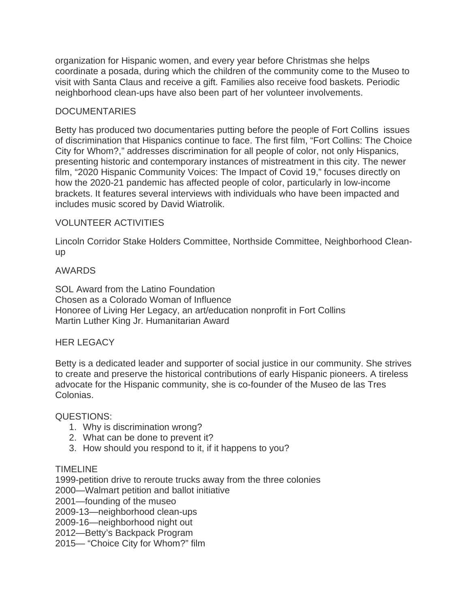organization for Hispanic women, and every year before Christmas she helps coordinate a posada, during which the children of the community come to the Museo to visit with Santa Claus and receive a gift. Families also receive food baskets. Periodic neighborhood clean-ups have also been part of her volunteer involvements.

## **DOCUMENTARIES**

Betty has produced two documentaries putting before the people of Fort Collins issues of discrimination that Hispanics continue to face. The first film, "Fort Collins: The Choice City for Whom?," addresses discrimination for all people of color, not only Hispanics, presenting historic and contemporary instances of mistreatment in this city. The newer film, "2020 Hispanic Community Voices: The Impact of Covid 19," focuses directly on how the 2020-21 pandemic has affected people of color, particularly in low-income brackets. It features several interviews with individuals who have been impacted and includes music scored by David Wiatrolik.

## VOLUNTEER ACTIVITIES

Lincoln Corridor Stake Holders Committee, Northside Committee, Neighborhood Cleanup

## AWARDS

SOL Award from the Latino Foundation Chosen as a Colorado Woman of Influence Honoree of Living Her Legacy, an art/education nonprofit in Fort Collins Martin Luther King Jr. Humanitarian Award

## HER LEGACY

Betty is a dedicated leader and supporter of social justice in our community. She strives to create and preserve the historical contributions of early Hispanic pioneers. A tireless advocate for the Hispanic community, she is co-founder of the Museo de las Tres Colonias.

## QUESTIONS:

- 1. Why is discrimination wrong?
- 2. What can be done to prevent it?
- 3. How should you respond to it, if it happens to you?

## TIMELINE

1999-petition drive to reroute trucks away from the three colonies

2000—Walmart petition and ballot initiative

2001—founding of the museo

2009-13—neighborhood clean-ups

2009-16—neighborhood night out

2012—Betty's Backpack Program

2015— "Choice City for Whom?" film